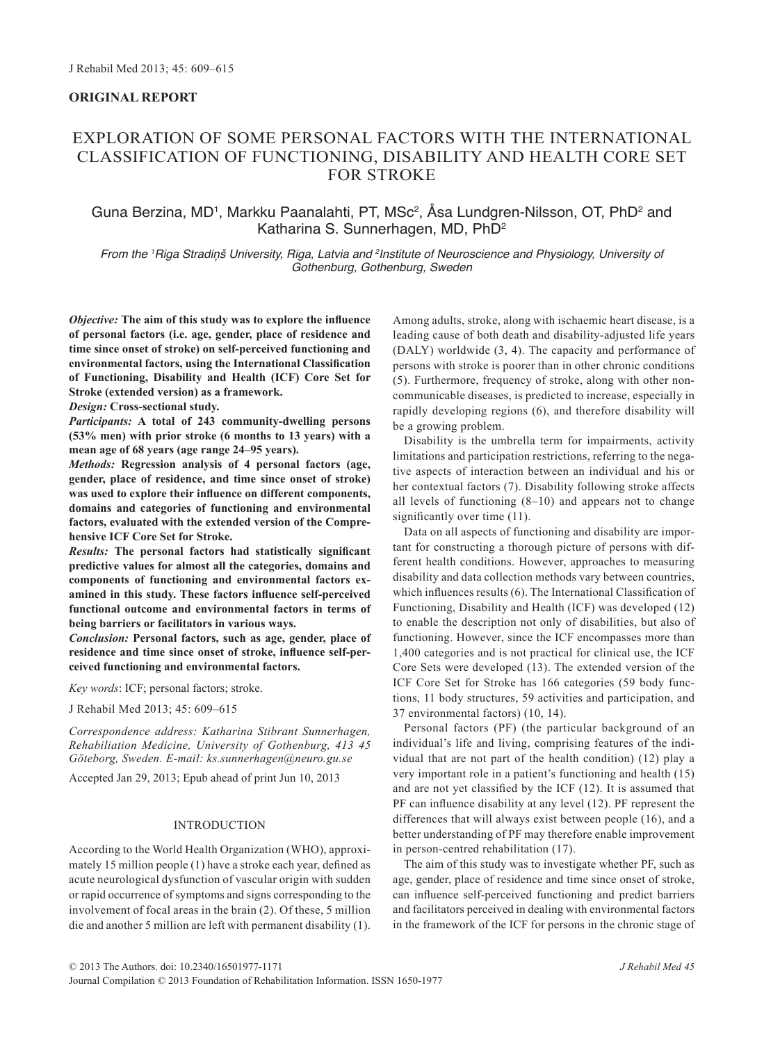# **ORIGINAL REPORT**

# Exploration of some personal factors WITH the International Classification of Functioning, Disability and Health Core set for stroke

# Guna Berzina, MD<sup>1</sup>, Markku Paanalahti, PT, MSc<sup>2</sup>, Asa Lundgren-Nilsson, OT, PhD<sup>2</sup> and Katharina S. Sunnerhagen, MD, PhD2

*From the 1* Riga Stradiņš University, Riga, Latvia and *<sup>2</sup>* Institute of Neuroscience and Physiology, University of Gothenburg, Gothenburg, Sweden

*Objective:* **The aim of this study was to explore the influence of personal factors (i.e. age, gender, place of residence and time since onset of stroke) on self-perceived functioning and environmental factors, using the International Classification of Functioning, Disability and Health (ICF) Core Set for Stroke (extended version) as a framework.**

*Design:* **Cross-sectional study.**

*Participants:* **A total of 243 community-dwelling persons (53% men) with prior stroke (6 months to 13 years) with a mean age of 68 years (age range 24–95 years).**

*Methods:* **Regression analysis of 4 personal factors (age, gender, place of residence, and time since onset of stroke) was used to explore their influence on different components, domains and categories of functioning and environmental factors, evaluated with the extended version of the Comprehensive ICF Core Set for Stroke.**

*Results:* **The personal factors had statistically significant predictive values for almost all the categories, domains and components of functioning and environmental factors examined in this study. These factors influence self-perceived functional outcome and environmental factors in terms of being barriers or facilitators in various ways.** 

*Conclusion:* **Personal factors, such as age, gender, place of residence and time since onset of stroke, influence self-perceived functioning and environmental factors.**

*Key words*: ICF; personal factors; stroke.

J Rehabil Med 2013; 45: 609–615

*Correspondence address: Katharina Stibrant Sunnerhagen, Rehabiliation Medicine, University of Gothenburg, 413 45 Göteborg, Sweden. E-mail: ks.sunnerhagen@neuro.gu.se*

Accepted Jan 29, 2013; Epub ahead of print Jun 10, 2013

# **INTRODUCTION**

According to the World Health Organization (WHO), approximately 15 million people (1) have a stroke each year, defined as acute neurological dysfunction of vascular origin with sudden or rapid occurrence of symptoms and signs corresponding to the involvement of focal areas in the brain (2). Of these, 5 million die and another 5 million are left with permanent disability (1). Among adults, stroke, along with ischaemic heart disease, is a leading cause of both death and disability-adjusted life years (DALY) worldwide (3, 4). The capacity and performance of persons with stroke is poorer than in other chronic conditions (5). Furthermore, frequency of stroke, along with other noncommunicable diseases, is predicted to increase, especially in rapidly developing regions (6), and therefore disability will be a growing problem.

Disability is the umbrella term for impairments, activity limitations and participation restrictions, referring to the negative aspects of interaction between an individual and his or her contextual factors (7). Disability following stroke affects all levels of functioning (8–10) and appears not to change significantly over time  $(11)$ .

Data on all aspects of functioning and disability are important for constructing a thorough picture of persons with different health conditions. However, approaches to measuring disability and data collection methods vary between countries, which influences results (6). The International Classification of Functioning, Disability and Health (ICF) was developed (12) to enable the description not only of disabilities, but also of functioning. However, since the ICF encompasses more than 1,400 categories and is not practical for clinical use, the ICF Core Sets were developed (13). The extended version of the ICF Core Set for Stroke has 166 categories (59 body functions, 11 body structures, 59 activities and participation, and 37 environmental factors) (10, 14).

Personal factors (PF) (the particular background of an individual's life and living, comprising features of the individual that are not part of the health condition) (12) play a very important role in a patient's functioning and health (15) and are not yet classified by the ICF (12). It is assumed that PF can influence disability at any level (12). PF represent the differences that will always exist between people (16), and a better understanding of PF may therefore enable improvement in person-centred rehabilitation (17).

The aim of this study was to investigate whether PF, such as age, gender, place of residence and time since onset of stroke, can influence self-perceived functioning and predict barriers and facilitators perceived in dealing with environmental factors in the framework of the ICF for persons in the chronic stage of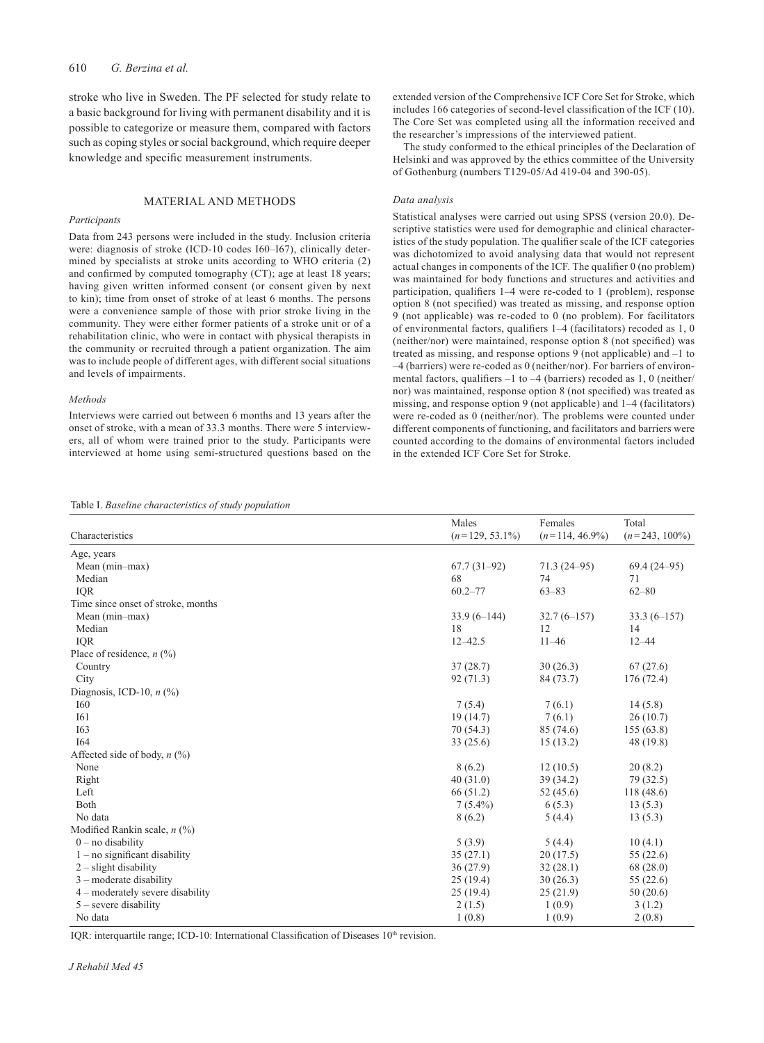stroke who live in Sweden. The PF selected for study relate to a basic background for living with permanent disability and it is possible to categorize or measure them, compared with factors such as coping styles or social background, which require deeper knowledge and specific measurement instruments.

### Material and Methods

### *Participants*

Data from 243 persons were included in the study. Inclusion criteria were: diagnosis of stroke (ICD-10 codes I60–I67), clinically determined by specialists at stroke units according to WHO criteria (2) and confirmed by computed tomography (CT); age at least 18 years; having given written informed consent (or consent given by next to kin); time from onset of stroke of at least 6 months. The persons were a convenience sample of those with prior stroke living in the community. They were either former patients of a stroke unit or of a rehabilitation clinic, who were in contact with physical therapists in the community or recruited through a patient organization. The aim was to include people of different ages, with different social situations and levels of impairments.

#### *Methods*

Interviews were carried out between 6 months and 13 years after the onset of stroke, with a mean of 33.3 months. There were 5 interviewers, all of whom were trained prior to the study. Participants were interviewed at home using semi-structured questions based on the extended version of the Comprehensive ICF Core Set for Stroke, which includes 166 categories of second-level classification of the ICF (10). The Core Set was completed using all the information received and the researcher's impressions of the interviewed patient.

The study conformed to the ethical principles of the Declaration of Helsinki and was approved by the ethics committee of the University of Gothenburg (numbers T129-05/Ad 419-04 and 390-05).

#### *Data analysis*

Statistical analyses were carried out using SPSS (version 20.0). Descriptive statistics were used for demographic and clinical characteristics of the study population. The qualifier scale of the ICF categories was dichotomized to avoid analysing data that would not represent actual changes in components of the ICF. The qualifier 0 (no problem) was maintained for body functions and structures and activities and participation, qualifiers 1–4 were re-coded to 1 (problem), response option 8 (not specified) was treated as missing, and response option 9 (not applicable) was re-coded to 0 (no problem). For facilitators of environmental factors, qualifiers 1–4 (facilitators) recoded as 1, 0 (neither/nor) were maintained, response option 8 (not specified) was treated as missing, and response options  $9$  (not applicable) and  $-1$  to –4 (barriers) were re-coded as 0 (neither/nor). For barriers of environmental factors, qualifiers –1 to –4 (barriers) recoded as 1, 0 (neither/ nor) was maintained, response option 8 (not specified) was treated as missing, and response option 9 (not applicable) and 1–4 (facilitators) were re-coded as 0 (neither/nor). The problems were counted under different components of functioning, and facilitators and barriers were counted according to the domains of environmental factors included in the extended ICF Core Set for Stroke.

#### Table I. *Baseline characteristics of study population*

|                                    | Males             | Females           | Total            |  |
|------------------------------------|-------------------|-------------------|------------------|--|
| Characteristics                    | $(n=129, 53.1\%)$ | $(n=114, 46.9\%)$ | $(n=243, 100\%)$ |  |
| Age, years                         |                   |                   |                  |  |
| Mean (min-max)                     | $67.7(31-92)$     | $71.3(24 - 95)$   | $69.4(24-95)$    |  |
| Median                             | 68                | 74                | 71               |  |
| IQR                                | $60.2 - 77$       | $63 - 83$         | $62 - 80$        |  |
| Time since onset of stroke, months |                   |                   |                  |  |
| Mean (min-max)                     | $33.9(6 - 144)$   | $32.7(6 - 157)$   | $33.3(6 - 157)$  |  |
| Median                             | 18                | 12                | 14               |  |
| IQR                                | $12 - 42.5$       | $11 - 46$         | $12 - 44$        |  |
| Place of residence, $n$ (%)        |                   |                   |                  |  |
| Country                            | 37(28.7)          | 30(26.3)          | 67(27.6)         |  |
| City                               | 92(71.3)          | 84 (73.7)         | 176(72.4)        |  |
| Diagnosis, ICD-10, $n$ (%)         |                   |                   |                  |  |
| <b>I60</b>                         | 7(5.4)            | 7(6.1)            | 14(5.8)          |  |
| <b>I61</b>                         | 19(14.7)          | 7(6.1)            | 26(10.7)         |  |
| <b>I63</b>                         | 70(54.3)          | 85 (74.6)         | 155(63.8)        |  |
| <b>I64</b>                         | 33(25.6)          | 15(13.2)          | 48 (19.8)        |  |
| Affected side of body, $n$ (%)     |                   |                   |                  |  |
| None                               | 8(6.2)            | 12(10.5)          | 20(8.2)          |  |
| Right                              | 40(31.0)          | 39 (34.2)         | 79 (32.5)        |  |
| Left                               | 66(51.2)          | 52(45.6)          | 118(48.6)        |  |
| Both                               | $7(5.4\%)$        | 6(5.3)            | 13(5.3)          |  |
| No data                            | 8(6.2)            | 5(4.4)            | 13(5.3)          |  |
| Modified Rankin scale, $n$ (%)     |                   |                   |                  |  |
| $0$ – no disability                | 5(3.9)            | 5(4.4)            | 10(4.1)          |  |
| $1 - no$ significant disability    | 35(27.1)          | 20(17.5)          | 55 (22.6)        |  |
| $2$ – slight disability            | 36(27.9)          | 32(28.1)          | 68 (28.0)        |  |
| $3$ – moderate disability          | 25(19.4)          | 30(26.3)          | 55(22.6)         |  |
| 4 – moderately severe disability   | 25(19.4)          | 25(21.9)          | 50(20.6)         |  |
| $5$ – severe disability            | 2(1.5)            | 1(0.9)            | 3(1.2)           |  |
| No data                            | 1(0.8)            | 1(0.9)            | 2(0.8)           |  |

IQR: interquartile range; ICD-10: International Classification of Diseases  $10<sup>th</sup>$  revision.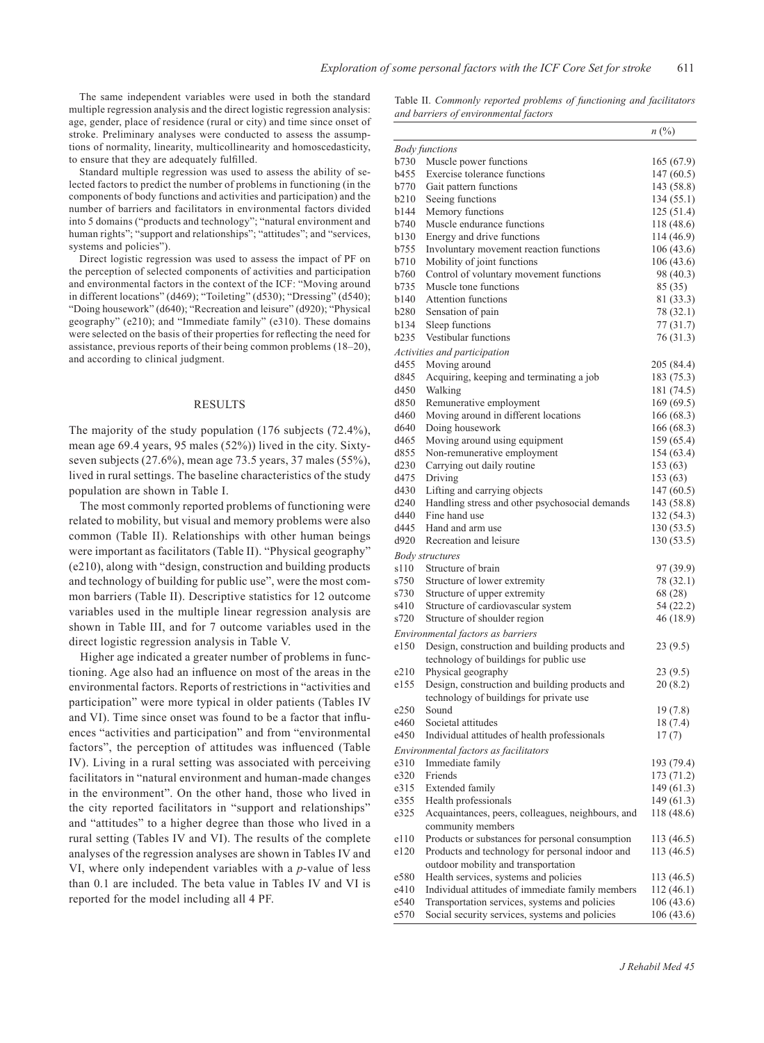The same independent variables were used in both the standard multiple regression analysis and the direct logistic regression analysis: age, gender, place of residence (rural or city) and time since onset of stroke. Preliminary analyses were conducted to assess the assumptions of normality, linearity, multicollinearity and homoscedasticity, to ensure that they are adequately fulfilled.

Standard multiple regression was used to assess the ability of selected factors to predict the number of problems in functioning (in the components of body functions and activities and participation) and the number of barriers and facilitators in environmental factors divided into 5 domains ("products and technology"; "natural environment and human rights"; "support and relationships"; "attitudes"; and "services, systems and policies").

Direct logistic regression was used to assess the impact of PF on the perception of selected components of activities and participation and environmental factors in the context of the ICF: "Moving around in different locations" (d469); "Toileting" (d530); "Dressing" (d540); "Doing housework" (d640); "Recreation and leisure" (d920); "Physical geography" (e210); and "Immediate family" (e310). These domains were selected on the basis of their properties for reflecting the need for assistance, previous reports of their being common problems (18–20), and according to clinical judgment.

### **RESULTS**

The majority of the study population (176 subjects (72.4%), mean age 69.4 years, 95 males (52%)) lived in the city. Sixtyseven subjects (27.6%), mean age 73.5 years, 37 males (55%), lived in rural settings. The baseline characteristics of the study population are shown in Table I.

The most commonly reported problems of functioning were related to mobility, but visual and memory problems were also common (Table II). Relationships with other human beings were important as facilitators (Table II). "Physical geography" (e210), along with "design, construction and building products and technology of building for public use", were the most common barriers (Table II). Descriptive statistics for 12 outcome variables used in the multiple linear regression analysis are shown in Table III, and for 7 outcome variables used in the direct logistic regression analysis in Table V.

Higher age indicated a greater number of problems in functioning. Age also had an influence on most of the areas in the environmental factors. Reports of restrictions in "activities and participation" were more typical in older patients (Tables IV and VI). Time since onset was found to be a factor that influences "activities and participation" and from "environmental factors", the perception of attitudes was influenced (Table IV). Living in a rural setting was associated with perceiving facilitators in "natural environment and human-made changes in the environment". On the other hand, those who lived in the city reported facilitators in "support and relationships" and "attitudes" to a higher degree than those who lived in a rural setting (Tables IV and VI). The results of the complete analyses of the regression analyses are shown in Tables IV and VI, where only independent variables with a *p*-value of less than 0.1 are included. The beta value in Tables IV and VI is reported for the model including all 4 PF.

Table II. *Commonly reported problems of functioning and facilitators and barriers of environmental factors*

|              |                                                                    | $n\ (\%)$                |
|--------------|--------------------------------------------------------------------|--------------------------|
|              | <b>Body functions</b>                                              |                          |
| <b>b730</b>  | Muscle power functions                                             | 165(67.9)                |
| b455         | Exercise tolerance functions                                       | 147(60.5)                |
| <b>b770</b>  | Gait pattern functions                                             | 143 (58.8)               |
| b210         | Seeing functions                                                   | 134(55.1)                |
| b144         | Memory functions                                                   | 125(51.4)                |
| <b>b</b> 740 | Muscle endurance functions                                         | 118 (48.6)               |
| b130         | Energy and drive functions                                         | 114 (46.9)               |
| b755         | Involuntary movement reaction functions                            | 106 (43.6)               |
| <b>b</b> 710 | Mobility of joint functions                                        | 106(43.6)                |
| <b>b</b> 760 | Control of voluntary movement functions                            | 98 (40.3)                |
| b735         | Muscle tone functions                                              | 85 (35)                  |
| b140         | <b>Attention functions</b>                                         | 81 (33.3)                |
| <b>b280</b>  | Sensation of pain                                                  | 78 (32.1)                |
| b134<br>b235 | Sleep functions<br>Vestibular functions                            | 77 (31.7)                |
|              |                                                                    | 76 (31.3)                |
| d455         | Activities and participation                                       |                          |
| d845         | Moving around<br>Acquiring, keeping and terminating a job          | 205 (84.4)<br>183 (75.3) |
| d450         | Walking                                                            | 181 (74.5)               |
| d850         | Remunerative employment                                            | 169(69.5)                |
| d460         | Moving around in different locations                               | 166(68.3)                |
| d640         | Doing housework                                                    | 166 (68.3)               |
| d465         | Moving around using equipment                                      | 159 (65.4)               |
| d855         | Non-remunerative employment                                        | 154(63.4)                |
| d230         | Carrying out daily routine                                         | 153(63)                  |
| d475         | Driving                                                            | 153(63)                  |
| d430         | Lifting and carrying objects                                       | 147(60.5)                |
| d240         | Handling stress and other psychosocial demands                     | 143 (58.8)               |
| d440         | Fine hand use                                                      | 132 (54.3)               |
| d445         | Hand and arm use                                                   | 130 (53.5)               |
| d920         | Recreation and leisure                                             | 130 (53.5)               |
|              | <b>Body structures</b>                                             |                          |
| s110         | Structure of brain                                                 | 97 (39.9)                |
| s750         | Structure of lower extremity                                       | 78 (32.1)                |
| s730         | Structure of upper extremity                                       | 68 (28)                  |
| s410         | Structure of cardiovascular system                                 | 54 (22.2)                |
| s720         | Structure of shoulder region                                       | 46 (18.9)                |
|              | Environmental factors as barriers                                  |                          |
| e150         | Design, construction and building products and                     | 23(9.5)                  |
|              | technology of buildings for public use                             |                          |
| e210         | Physical geography                                                 | 23 (9.5)                 |
| e155         | Design, construction and building products and                     | 20(8.2)                  |
|              | technology of buildings for private use                            |                          |
| e250         | Sound                                                              | 19(7.8)                  |
| e460<br>e450 | Societal attitudes<br>Individual attitudes of health professionals | 18(7.4)                  |
|              |                                                                    | 17(7)                    |
| e310         | Environmental factors as facilitators                              |                          |
| e320         | Immediate family<br>Friends                                        | 193 (79.4)<br>173 (71.2) |
| e315         | Extended family                                                    | 149(61.3)                |
| e355         | Health professionals                                               | 149 (61.3)               |
| e325         | Acquaintances, peers, colleagues, neighbours, and                  | 118 (48.6)               |
|              | community members                                                  |                          |
| e110         | Products or substances for personal consumption                    | 113 (46.5)               |
| e120         | Products and technology for personal indoor and                    | 113 (46.5)               |
|              | outdoor mobility and transportation                                |                          |
| e580         | Health services, systems and policies                              | 113 (46.5)               |
| e410         | Individual attitudes of immediate family members                   | 112 (46.1)               |
| e540         | Transportation services, systems and policies                      | 106(43.6)                |
| e570         | Social security services, systems and policies                     | 106(43.6)                |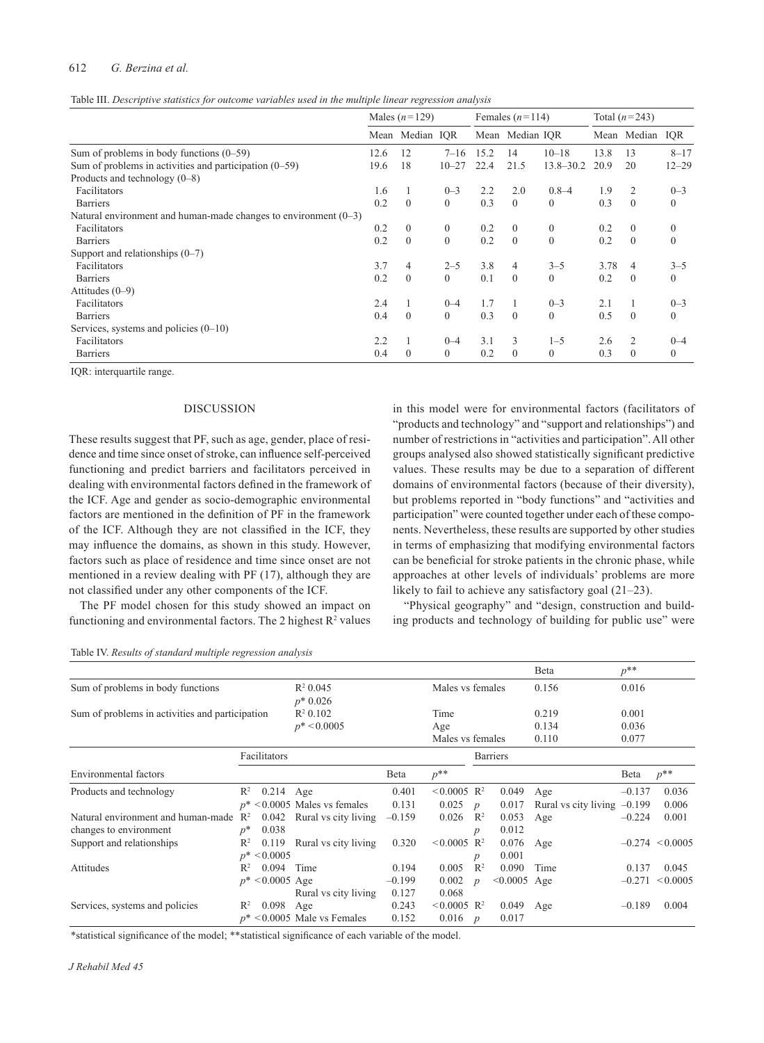### 612 *G. Berzina et al.*

Table III. *Descriptive statistics for outcome variables used in the multiple linear regression analysis*

|                                                                   | Males $(n=129)$ |                 |              | Females $(n=114)$ |                 |               | Total $(n=243)$ |                 |              |
|-------------------------------------------------------------------|-----------------|-----------------|--------------|-------------------|-----------------|---------------|-----------------|-----------------|--------------|
|                                                                   |                 | Mean Median IOR |              |                   | Mean Median IOR |               |                 | Mean Median IOR |              |
| Sum of problems in body functions $(0-59)$                        | 12.6            | 12              | $7 - 16$     | 15.2              | 14              | $10 - 18$     | 13.8            | 13              | $8 - 17$     |
| Sum of problems in activities and participation $(0-59)$          | 19.6            | 18              | $10 - 27$    | 22.4              | 21.5            | $13.8 - 30.2$ | 20.9            | 20              | $12 - 29$    |
| Products and technology $(0-8)$                                   |                 |                 |              |                   |                 |               |                 |                 |              |
| Facilitators                                                      | 1.6             |                 | $0 - 3$      | 2.2               | 2.0             | $0.8 - 4$     | 1.9             | 2               | $0 - 3$      |
| <b>Barriers</b>                                                   | 0.2             | $\theta$        | $\theta$     | 0.3               | $\Omega$        | $\theta$      | 0.3             | $\mathbf{0}$    | $\mathbf{0}$ |
| Natural environment and human-made changes to environment $(0-3)$ |                 |                 |              |                   |                 |               |                 |                 |              |
| Facilitators                                                      | 0.2             | $\theta$        | $\theta$     | 0.2               | $\Omega$        | $\mathbf{0}$  | 0.2             | $\mathbf{0}$    | $\mathbf{0}$ |
| <b>Barriers</b>                                                   | 0.2             | $\theta$        | $\theta$     | 0.2               | $\Omega$        | $\theta$      | 0.2             | $\Omega$        | $\theta$     |
| Support and relationships $(0-7)$                                 |                 |                 |              |                   |                 |               |                 |                 |              |
| Facilitators                                                      | 3.7             | 4               | $2 - 5$      | 3.8               | $\overline{4}$  | $3 - 5$       | 3.78            | 4               | $3 - 5$      |
| <b>Barriers</b>                                                   | 0.2             | $\theta$        | $\theta$     | 0.1               | $\Omega$        | $\theta$      | 0.2             | $\theta$        | $\theta$     |
| Attitudes $(0-9)$                                                 |                 |                 |              |                   |                 |               |                 |                 |              |
| Facilitators                                                      | 2.4             |                 | $0 - 4$      | 1.7               |                 | $0 - 3$       | 2.1             |                 | $0 - 3$      |
| <b>Barriers</b>                                                   | 0.4             | $\mathbf{0}$    | $\mathbf{0}$ | 0.3               | $\Omega$        | $\mathbf{0}$  | 0.5             | $\mathbf{0}$    | $\mathbf{0}$ |
| Services, systems and policies $(0-10)$                           |                 |                 |              |                   |                 |               |                 |                 |              |
| Facilitators                                                      | 2.2             |                 | $0 - 4$      | 3.1               | 3               | $1 - 5$       | 2.6             | $\overline{2}$  | $0 - 4$      |
| <b>Barriers</b>                                                   | 0.4             | $\mathbf{0}$    | $\mathbf{0}$ | 0.2               | $\theta$        | $\mathbf{0}$  | 0.3             | $\mathbf{0}$    | $\mathbf{0}$ |

IQR: interquartile range.

# Discussion

These results suggest that PF, such as age, gender, place of residence and time since onset of stroke, can influence self-perceived functioning and predict barriers and facilitators perceived in dealing with environmental factors defined in the framework of the ICF. Age and gender as socio-demographic environmental factors are mentioned in the definition of PF in the framework of the ICF. Although they are not classified in the ICF, they may influence the domains, as shown in this study. However, factors such as place of residence and time since onset are not mentioned in a review dealing with PF (17), although they are not classified under any other components of the ICF.

The PF model chosen for this study showed an impact on functioning and environmental factors. The 2 highest  $\mathbb{R}^2$  values in this model were for environmental factors (facilitators of "products and technology" and "support and relationships") and number of restrictions in "activities and participation". All other groups analysed also showed statistically significant predictive values. These results may be due to a separation of different domains of environmental factors (because of their diversity), but problems reported in "body functions" and "activities and participation" were counted together under each of these components. Nevertheless, these results are supported by other studies in terms of emphasizing that modifying environmental factors can be beneficial for stroke patients in the chronic phase, while approaches at other levels of individuals' problems are more likely to fail to achieve any satisfactory goal (21–23).

"Physical geography" and "design, construction and building products and technology of building for public use" were

Table IV. *Results of standard multiple regression analysis*

|                                                 |                |                    |                                |          |                              |                  |                 | Beta                          | $p^{**}$ |                     |
|-------------------------------------------------|----------------|--------------------|--------------------------------|----------|------------------------------|------------------|-----------------|-------------------------------|----------|---------------------|
| Sum of problems in body functions               |                |                    | $R^2$ 0.045<br>$p*0.026$       |          | Males vs females             |                  |                 | 0.156                         | 0.016    |                     |
| Sum of problems in activities and participation |                | $R^2$ 0.102        |                                | Time     |                              |                  | 0.219           | 0.001                         |          |                     |
|                                                 |                |                    | $p^*$ < 0.0005                 |          | Age                          |                  |                 | 0.134                         | 0.036    |                     |
|                                                 |                |                    |                                |          | Males vs females             |                  |                 | 0.110                         | 0.077    |                     |
|                                                 |                | Facilitators       |                                |          |                              |                  | <b>Barriers</b> |                               |          |                     |
| Environmental factors                           |                |                    |                                | Beta     | $p^{**}$                     |                  |                 |                               | Beta     | $p^{**}$            |
| Products and technology                         | $\mathbb{R}^2$ | $0.214$ Age        |                                | 0.401    | $<0.0005$ R <sup>2</sup>     |                  | 0.049           | Age                           | $-0.137$ | 0.036               |
|                                                 |                |                    | $p^*$ <0.0005 Males vs females | 0.131    | 0.025                        | $\overline{p}$   | 0.017           | Rural vs city living $-0.199$ |          | 0.006               |
| Natural environment and human-made              | $\mathbb{R}^2$ | 0.042              | Rural vs city living           | $-0.159$ | 0.026                        | $\mathbb{R}^2$   | 0.053           | Age                           | $-0.224$ | 0.001               |
| changes to environment                          | $p^*$          | 0.038              |                                |          |                              | $\boldsymbol{p}$ | 0.012           |                               |          |                     |
| Support and relationships                       | $\mathbb{R}^2$ | 0.119              | Rural vs city living           | 0.320    | $< 0.0005$ R <sup>2</sup>    |                  | 0.076           | Age                           |          | $-0.274 \le 0.0005$ |
|                                                 |                | $p^*$ < 0.0005     |                                |          |                              | $\boldsymbol{p}$ | 0.001           |                               |          |                     |
| Attitudes                                       | $R^2$          | 0.094              | Time                           | 0.194    | 0.005                        | $\mathbb{R}^2$   | 0.090           | Time                          | 0.137    | 0.045               |
|                                                 |                | $p^*$ < 0.0005 Age |                                | $-0.199$ | 0.002                        | $\boldsymbol{D}$ | $< 0.0005$ Age  |                               | $-0.271$ | ${}_{0.0005}$       |
|                                                 |                |                    | Rural vs city living           | 0.127    | 0.068                        |                  |                 |                               |          |                     |
| Services, systems and policies                  | $\mathbb{R}^2$ | 0.098              | Age                            | 0.243    | $\leq 0.0005$ R <sup>2</sup> |                  | 0.049           | Age                           | $-0.189$ | 0.004               |
|                                                 |                |                    | $p^*$ < 0.0005 Male vs Females | 0.152    | 0.016 p                      |                  | 0.017           |                               |          |                     |

\*statistical significance of the model; \*\*statistical significance of each variable of the model.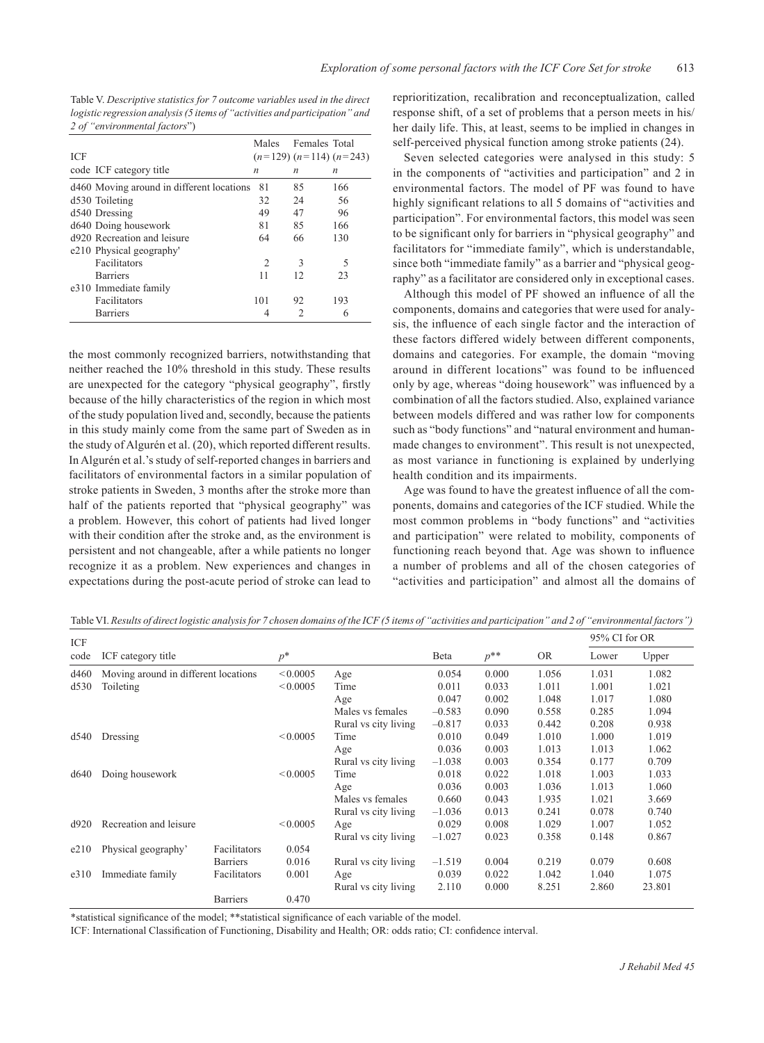Table V. *Descriptive statistics for 7 outcome variables used in the direct logistic regression analysis (5 items of "activities and participation" and 2 of "environmental factors*")

| <b>ICF</b> |                                           | Males | Females Total | $(n=129)$ $(n=114)$ $(n=243)$ |
|------------|-------------------------------------------|-------|---------------|-------------------------------|
|            | code ICF category title                   | n     | n             | n                             |
|            |                                           | 81    | 85            | 166                           |
|            | d460 Moving around in different locations |       |               |                               |
|            | d530 Toileting                            | 32    | 24            | 56                            |
|            | d540 Dressing                             | 49    | 47            | 96                            |
|            | d640 Doing housework                      | 81    | 85            | 166                           |
|            | d920 Recreation and leisure               | 64    | 66            | 130                           |
|            | e210 Physical geography'                  |       |               |                               |
|            | Facilitators                              | 2     | 3             | 5                             |
|            | <b>Barriers</b>                           | 11    | 12            | 23                            |
|            | e310 Immediate family                     |       |               |                               |
|            | Facilitators                              | 101   | 92            | 193                           |
|            | <b>Barriers</b>                           |       | 2             | 6                             |

the most commonly recognized barriers, notwithstanding that neither reached the 10% threshold in this study. These results are unexpected for the category "physical geography", firstly because of the hilly characteristics of the region in which most of the study population lived and, secondly, because the patients in this study mainly come from the same part of Sweden as in the study of Algurén et al. (20), which reported different results. In Algurén et al.'s study of self-reported changes in barriers and facilitators of environmental factors in a similar population of stroke patients in Sweden, 3 months after the stroke more than half of the patients reported that "physical geography" was a problem. However, this cohort of patients had lived longer with their condition after the stroke and, as the environment is persistent and not changeable, after a while patients no longer recognize it as a problem. New experiences and changes in expectations during the post-acute period of stroke can lead to reprioritization, recalibration and reconceptualization, called response shift, of a set of problems that a person meets in his/ her daily life. This, at least, seems to be implied in changes in self-perceived physical function among stroke patients (24).

Seven selected categories were analysed in this study: 5 in the components of "activities and participation" and 2 in environmental factors. The model of PF was found to have highly significant relations to all 5 domains of "activities and participation". For environmental factors, this model was seen to be significant only for barriers in "physical geography" and facilitators for "immediate family", which is understandable, since both "immediate family" as a barrier and "physical geography" as a facilitator are considered only in exceptional cases.

Although this model of PF showed an influence of all the components, domains and categories that were used for analysis, the influence of each single factor and the interaction of these factors differed widely between different components, domains and categories. For example, the domain "moving around in different locations" was found to be influenced only by age, whereas "doing housework" was influenced by a combination of all the factors studied. Also, explained variance between models differed and was rather low for components such as "body functions" and "natural environment and humanmade changes to environment". This result is not unexpected, as most variance in functioning is explained by underlying health condition and its impairments.

Age was found to have the greatest influence of all the components, domains and categories of the ICF studied. While the most common problems in "body functions" and "activities and participation" were related to mobility, components of functioning reach beyond that. Age was shown to influence a number of problems and all of the chosen categories of "activities and participation" and almost all the domains of

ICF code ICF category title *p*\* Beta *p*\*\* OR 95% CI for OR Lower Upper d460 Moving around in different locations  $\leq 0.0005$  Age  $\leq 0.0005$   $\leq 0.0005$   $\leq 0.0005$   $\leq 0.001$   $\leq 0.0033$   $\leq 1.011$   $\leq 1.001$   $\leq 1.021$ d530 Toileting <0.0005 Time 0.011 0.033 1.011 1.001 1.021 Age 0.047 0.002 1.048 1.017 1.080 Males vs females  $-0.583$  0.090 0.558 0.285 1.094 Rural vs city living –0.817 0.033 0.442 0.208 0.938 d540 Dressing  $\leq 0.0005$  Time  $0.010$  0.049 1.010 1.000 1.019 Age 0.036 0.003 1.013 1.013 1.062 Rural vs city living –1.038 0.003 0.354 0.177 0.709 d640 Doing housework  $\leq 0.0005$  Time  $\leq 0.018$  0.018 0.022 1.018 1.003 1.033 1.033<br>Age 0.003 0.003 1.036 1.013 1.060 Age 0.036 0.003 1.036 1.013 1.060 Males vs females  $0.660$   $0.043$   $1.935$   $1.021$   $3.669$ Rural vs city living –1.036 0.013 0.241 0.078 0.740  $d920$  Recreation and leisure  $d920$   $d929$   $0.008$   $1.029$   $1.007$   $1.052$ Rural vs city living –1.027 0.023 0.358 0.148 0.867 e210 Physical geography' Facilitators 0.054 Barriers 0.016 Rural vs city living –1.519 0.004 0.219 0.079 0.608 e310 Immediate family Facilitators 0.001 Age 0.039 0.022 1.042 1.040 1.075<br>Rural vs city living 2.110 0.000 8.251 2.860 23.801 Rural vs city living Barriers 0.470

Table VI. *Results of direct logistic analysis for 7 chosen domains of the ICF (5 items of "activities and participation" and 2 of "environmental factors")*

\*statistical significance of the model; \*\*statistical significance of each variable of the model.

ICF: International Classification of Functioning, Disability and Health; OR: odds ratio; CI: confidence interval.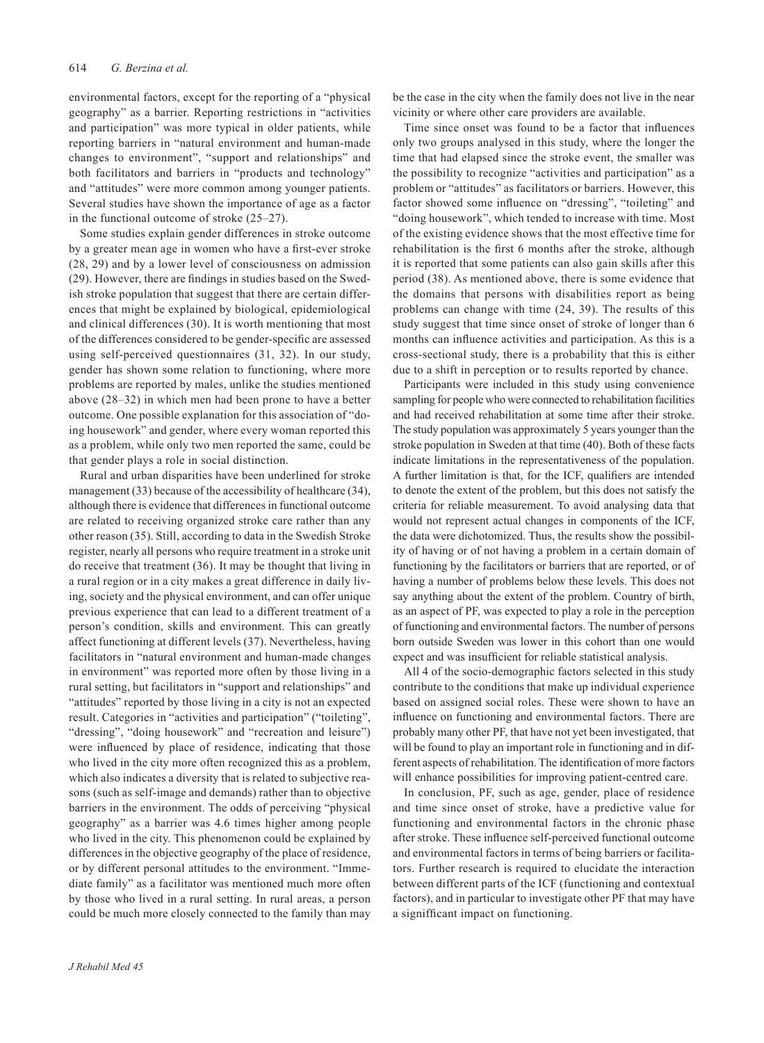environmental factors, except for the reporting of a "physical geography" as a barrier. Reporting restrictions in "activities and participation" was more typical in older patients, while reporting barriers in "natural environment and human-made changes to environment", "support and relationships" and both facilitators and barriers in "products and technology" and "attitudes" were more common among younger patients. Several studies have shown the importance of age as a factor in the functional outcome of stroke (25–27).

Some studies explain gender differences in stroke outcome by a greater mean age in women who have a first-ever stroke (28, 29) and by a lower level of consciousness on admission (29). However, there are findings in studies based on the Swedish stroke population that suggest that there are certain differences that might be explained by biological, epidemiological and clinical differences (30). It is worth mentioning that most of the differences considered to be gender-specific are assessed using self-perceived questionnaires (31, 32). In our study, gender has shown some relation to functioning, where more problems are reported by males, unlike the studies mentioned above (28–32) in which men had been prone to have a better outcome. One possible explanation for this association of "doing housework" and gender, where every woman reported this as a problem, while only two men reported the same, could be that gender plays a role in social distinction.

Rural and urban disparities have been underlined for stroke management (33) because of the accessibility of healthcare (34), although there is evidence that differences in functional outcome are related to receiving organized stroke care rather than any other reason (35). Still, according to data in the Swedish Stroke register, nearly all persons who require treatment in a stroke unit do receive that treatment (36). It may be thought that living in a rural region or in a city makes a great difference in daily living, society and the physical environment, and can offer unique previous experience that can lead to a different treatment of a person's condition, skills and environment. This can greatly affect functioning at different levels (37). Nevertheless, having facilitators in "natural environment and human-made changes in environment" was reported more often by those living in a rural setting, but facilitators in "support and relationships" and "attitudes" reported by those living in a city is not an expected result. Categories in "activities and participation" ("toileting", "dressing", "doing housework" and "recreation and leisure") were influenced by place of residence, indicating that those who lived in the city more often recognized this as a problem, which also indicates a diversity that is related to subjective reasons (such as self-image and demands) rather than to objective barriers in the environment. The odds of perceiving "physical geography" as a barrier was 4.6 times higher among people who lived in the city. This phenomenon could be explained by differences in the objective geography of the place of residence, or by different personal attitudes to the environment. "Immediate family" as a facilitator was mentioned much more often by those who lived in a rural setting. In rural areas, a person could be much more closely connected to the family than may be the case in the city when the family does not live in the near vicinity or where other care providers are available.

Time since onset was found to be a factor that influences only two groups analysed in this study, where the longer the time that had elapsed since the stroke event, the smaller was the possibility to recognize "activities and participation" as a problem or "attitudes" as facilitators or barriers. However, this factor showed some influence on "dressing", "toileting" and "doing housework", which tended to increase with time. Most of the existing evidence shows that the most effective time for rehabilitation is the first 6 months after the stroke, although it is reported that some patients can also gain skills after this period (38). As mentioned above, there is some evidence that the domains that persons with disabilities report as being problems can change with time (24, 39). The results of this study suggest that time since onset of stroke of longer than 6 months can influence activities and participation. As this is a cross-sectional study, there is a probability that this is either due to a shift in perception or to results reported by chance.

Participants were included in this study using convenience sampling for people who were connected to rehabilitation facilities and had received rehabilitation at some time after their stroke. The study population was approximately 5 years younger than the stroke population in Sweden at that time (40). Both of these facts indicate limitations in the representativeness of the population. A further limitation is that, for the ICF, qualifiers are intended to denote the extent of the problem, but this does not satisfy the criteria for reliable measurement. To avoid analysing data that would not represent actual changes in components of the ICF, the data were dichotomized. Thus, the results show the possibility of having or of not having a problem in a certain domain of functioning by the facilitators or barriers that are reported, or of having a number of problems below these levels. This does not say anything about the extent of the problem. Country of birth, as an aspect of PF, was expected to play a role in the perception of functioning and environmental factors. The number of persons born outside Sweden was lower in this cohort than one would expect and was insufficient for reliable statistical analysis.

All 4 of the socio-demographic factors selected in this study contribute to the conditions that make up individual experience based on assigned social roles. These were shown to have an influence on functioning and environmental factors. There are probably many other PF, that have not yet been investigated, that will be found to play an important role in functioning and in different aspects of rehabilitation. The identification of more factors will enhance possibilities for improving patient-centred care.

In conclusion, PF, such as age, gender, place of residence and time since onset of stroke, have a predictive value for functioning and environmental factors in the chronic phase after stroke. These influence self-perceived functional outcome and environmental factors in terms of being barriers or facilitators. Further research is required to elucidate the interaction between different parts of the ICF (functioning and contextual factors), and in particular to investigate other PF that may have a signifficant impact on functioning.